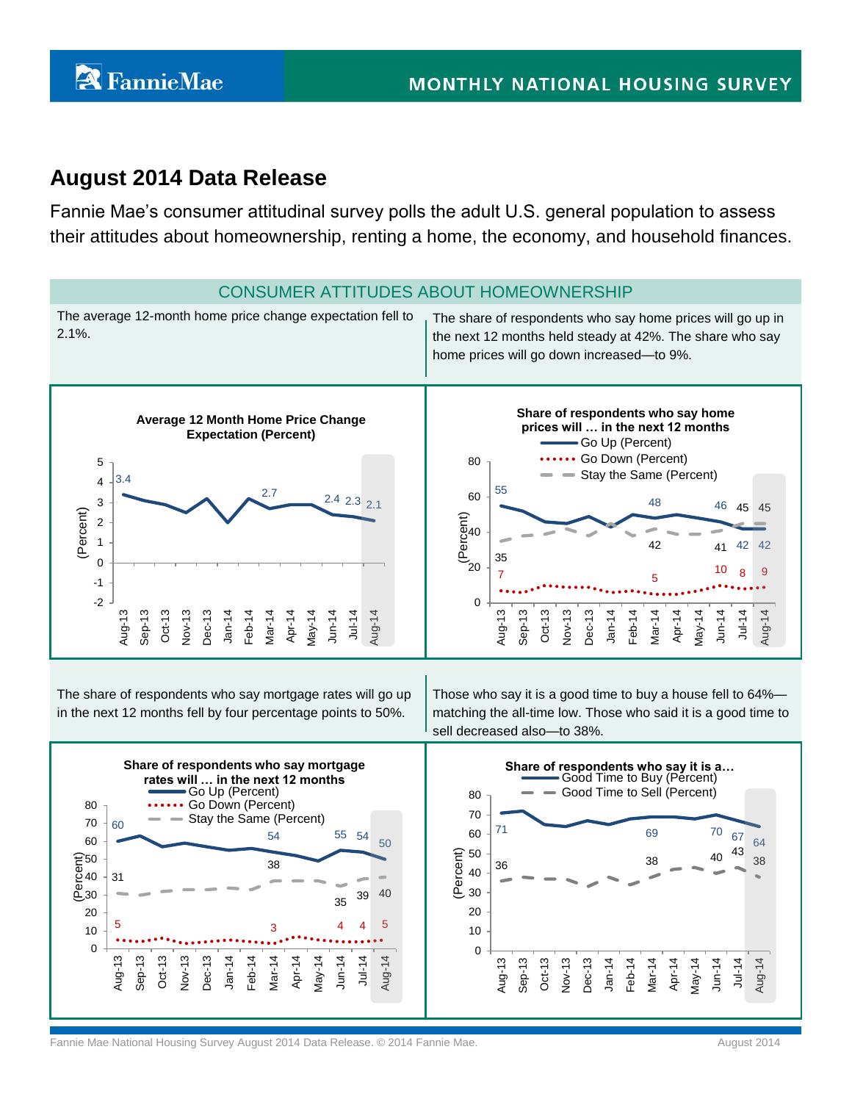# **August 2014 Data Release**

Fannie Mae's consumer attitudinal survey polls the adult U.S. general population to assess their attitudes about homeownership, renting a home, the economy, and household finances.

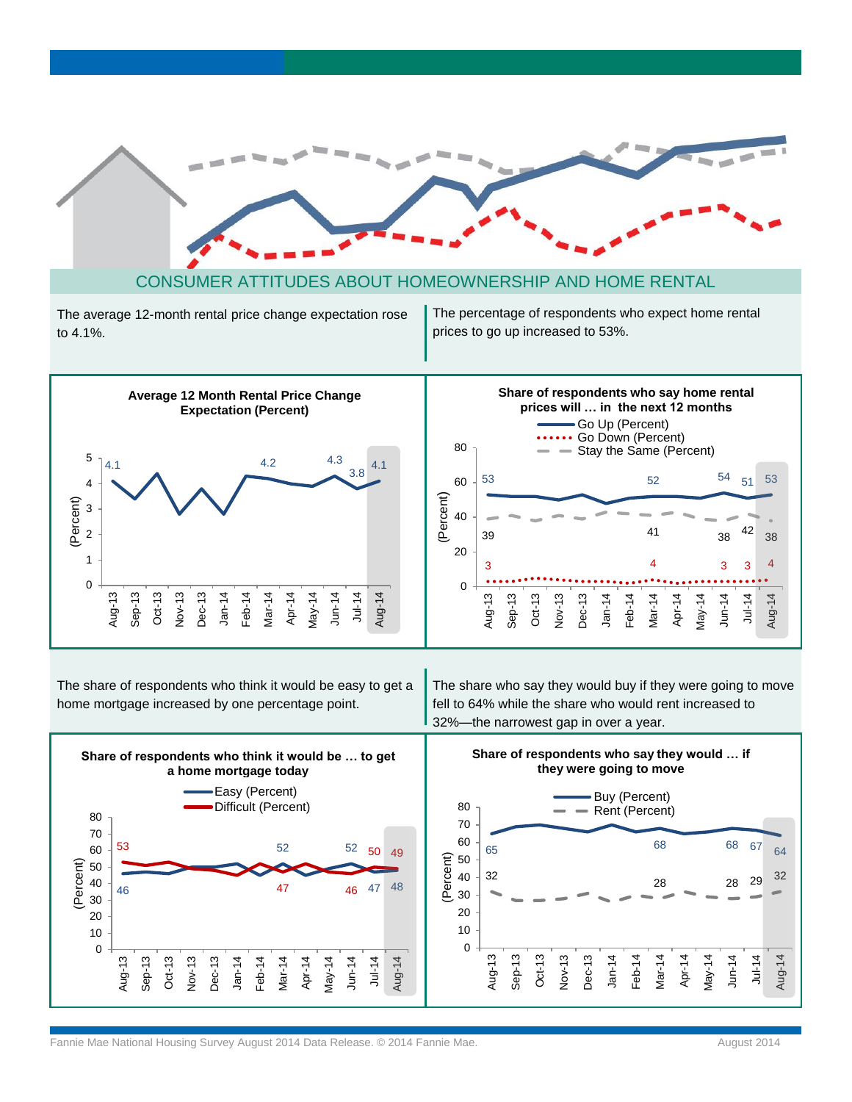





The share of respondents who think it would be easy to get a home mortgage increased by one percentage point.

The share who say they would buy if they were going to move fell to 64% while the share who would rent increased to 32%—the narrowest gap in over a year.

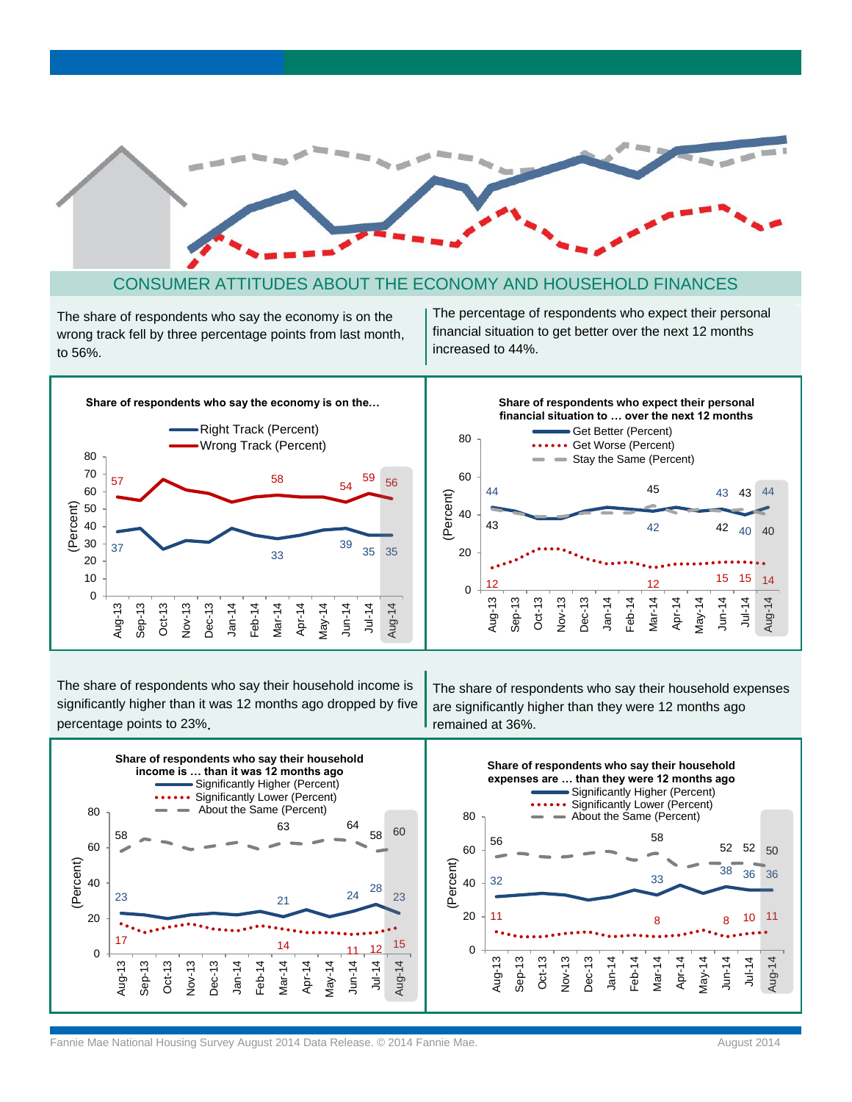

### CONSUMER ATTITUDES ABOUT THE ECONOMY AND HOUSEHOLD FINANCES

The share of respondents who say the economy is on the wrong track fell by three percentage points from last month, to 56%.

The percentage of respondents who expect their personal financial situation to get better over the next 12 months increased to 44%.



The share of respondents who say their household income is significantly higher than it was 12 months ago dropped by five percentage points to 23%.

The share of respondents who say their household expenses are significantly higher than they were 12 months ago remained at 36%.

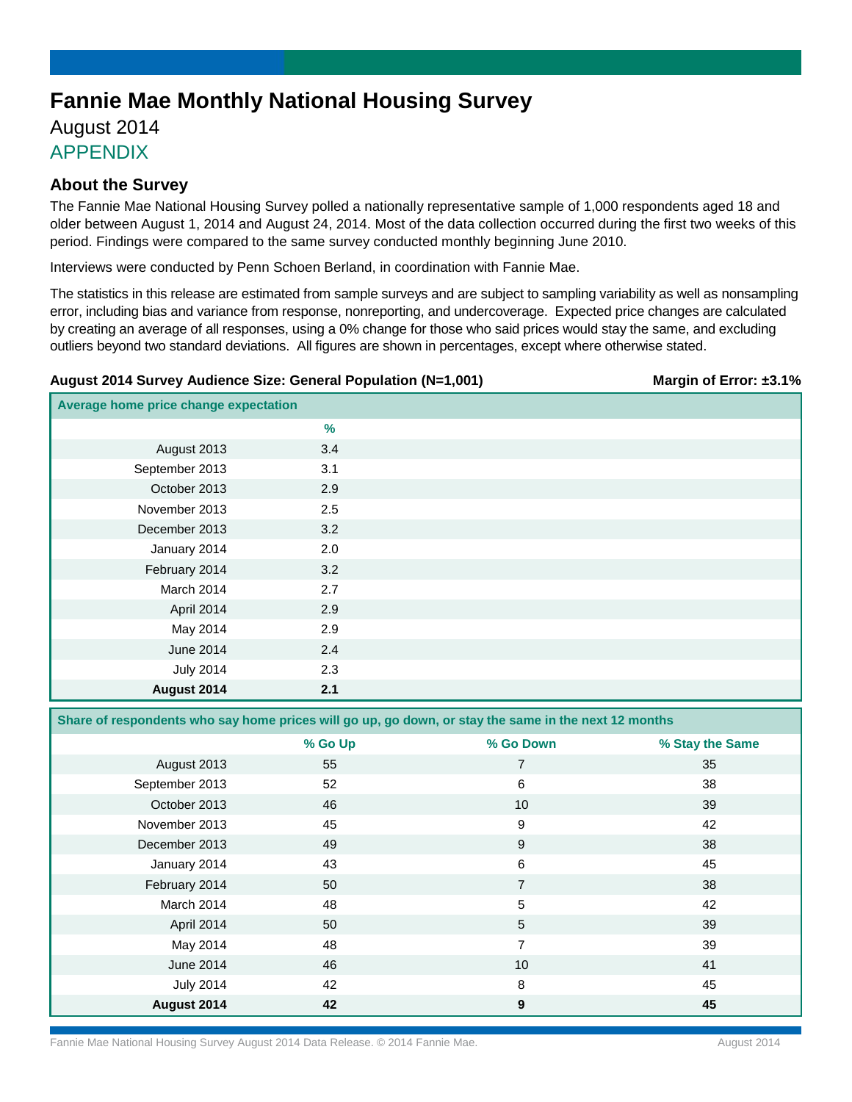# **Fannie Mae Monthly National Housing Survey**

## August 2014 APPENDIX

## **About the Survey**

The Fannie Mae National Housing Survey polled a nationally representative sample of 1,000 respondents aged 18 and older between August 1, 2014 and August 24, 2014. Most of the data collection occurred during the first two weeks of this period. Findings were compared to the same survey conducted monthly beginning June 2010.

Interviews were conducted by Penn Schoen Berland, in coordination with Fannie Mae.

The statistics in this release are estimated from sample surveys and are subject to sampling variability as well as nonsampling error, including bias and variance from response, nonreporting, and undercoverage. Expected price changes are calculated by creating an average of all responses, using a 0% change for those who said prices would stay the same, and excluding outliers beyond two standard deviations. All figures are shown in percentages, except where otherwise stated.

### **August 2014 Survey Audience Size: General Population (N=1,001) Margin of Error: ±3.1%**

| Average home price change expectation |     |  |
|---------------------------------------|-----|--|
|                                       | %   |  |
| August 2013                           | 3.4 |  |
| September 2013                        | 3.1 |  |
| October 2013                          | 2.9 |  |
| November 2013                         | 2.5 |  |
| December 2013                         | 3.2 |  |
| January 2014                          | 2.0 |  |
| February 2014                         | 3.2 |  |
| March 2014                            | 2.7 |  |
| April 2014                            | 2.9 |  |
| May 2014                              | 2.9 |  |
| June 2014                             | 2.4 |  |
| <b>July 2014</b>                      | 2.3 |  |
| August 2014                           | 2.1 |  |

**Share of respondents who say home prices will go up, go down, or stay the same in the next 12 months**

|                  | % Go Up | % Go Down      | % Stay the Same |
|------------------|---------|----------------|-----------------|
| August 2013      | 55      | 7              | 35              |
| September 2013   | 52      | 6              | 38              |
| October 2013     | 46      | 10             | 39              |
| November 2013    | 45      | 9              | 42              |
| December 2013    | 49      | 9              | 38              |
| January 2014     | 43      | 6              | 45              |
| February 2014    | 50      | $\overline{7}$ | 38              |
| March 2014       | 48      | 5              | 42              |
| April 2014       | 50      | 5              | 39              |
| May 2014         | 48      | 7              | 39              |
| June 2014        | 46      | 10             | 41              |
| <b>July 2014</b> | 42      | 8              | 45              |
| August 2014      | 42      | 9              | 45              |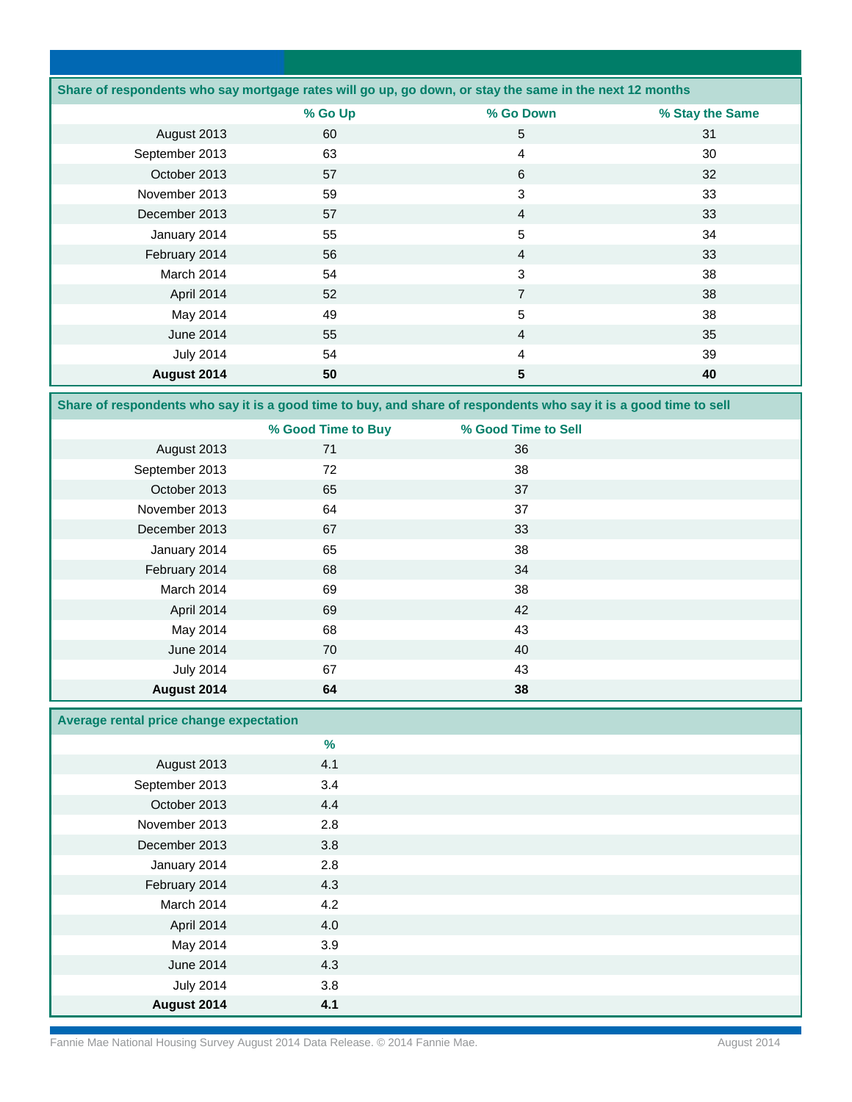|                  |         | Share of respondents who say mortgage rates will go up, go down, or stay the same in the next 12 months |                 |
|------------------|---------|---------------------------------------------------------------------------------------------------------|-----------------|
|                  | % Go Up | % Go Down                                                                                               | % Stay the Same |
| August 2013      | 60      | 5                                                                                                       | 31              |
| September 2013   | 63      | 4                                                                                                       | 30              |
| October 2013     | 57      | 6                                                                                                       | 32              |
| November 2013    | 59      | 3                                                                                                       | 33              |
| December 2013    | 57      | $\overline{4}$                                                                                          | 33              |
| January 2014     | 55      | 5                                                                                                       | 34              |
| February 2014    | 56      | $\overline{4}$                                                                                          | 33              |
| March 2014       | 54      | 3                                                                                                       | 38              |
| April 2014       | 52      | $\overline{7}$                                                                                          | 38              |
| May 2014         | 49      | 5                                                                                                       | 38              |
| June 2014        | 55      | $\overline{4}$                                                                                          | 35              |
| <b>July 2014</b> | 54      | 4                                                                                                       | 39              |
| August 2014      | 50      | 5                                                                                                       | 40              |

**Share of respondents who say it is a good time to buy, and share of respondents who say it is a good time to sell**

|                  | % Good Time to Buy | % Good Time to Sell |  |
|------------------|--------------------|---------------------|--|
| August 2013      | 71                 | 36                  |  |
| September 2013   | 72                 | 38                  |  |
| October 2013     | 65                 | 37                  |  |
| November 2013    | 64                 | 37                  |  |
| December 2013    | 67                 | 33                  |  |
| January 2014     | 65                 | 38                  |  |
| February 2014    | 68                 | 34                  |  |
| March 2014       | 69                 | 38                  |  |
| April 2014       | 69                 | 42                  |  |
| May 2014         | 68                 | 43                  |  |
| June 2014        | 70                 | 40                  |  |
| <b>July 2014</b> | 67                 | 43                  |  |
| August 2014      | 64                 | 38                  |  |

### **Average rental price change expectation**

|                  | $\%$ |  |
|------------------|------|--|
| August 2013      | 4.1  |  |
| September 2013   | 3.4  |  |
| October 2013     | 4.4  |  |
| November 2013    | 2.8  |  |
| December 2013    | 3.8  |  |
| January 2014     | 2.8  |  |
| February 2014    | 4.3  |  |
| March 2014       | 4.2  |  |
| April 2014       | 4.0  |  |
| May 2014         | 3.9  |  |
| June 2014        | 4.3  |  |
| <b>July 2014</b> | 3.8  |  |
| August 2014      | 4.1  |  |

Fannie Mae National Housing Survey August 2014 Data Release. © 2014 Fannie Mae. August 2014 Fannie Mae August 2014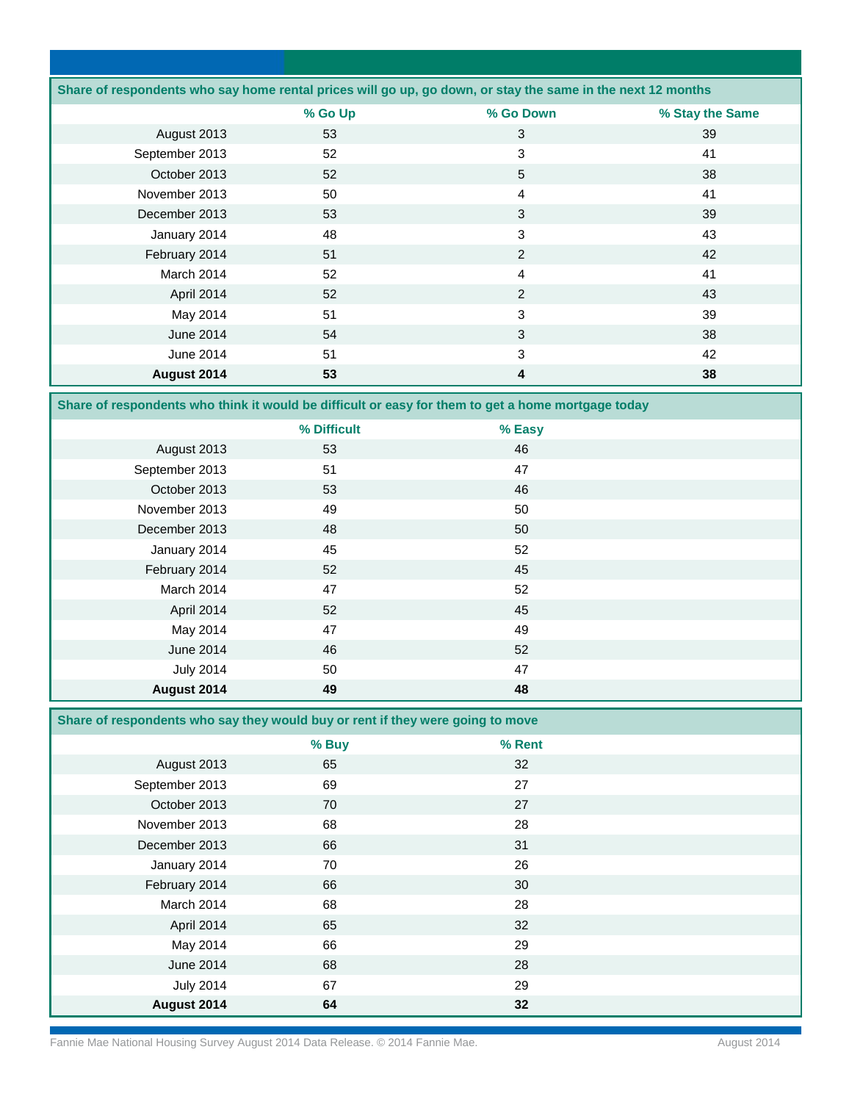|                |         | Share of respondents who say home rental prices will go up, go down, or stay the same in the next 12 months |                 |
|----------------|---------|-------------------------------------------------------------------------------------------------------------|-----------------|
|                | % Go Up | % Go Down                                                                                                   | % Stay the Same |
| August 2013    | 53      | 3                                                                                                           | 39              |
| September 2013 | 52      | 3                                                                                                           | 41              |
| October 2013   | 52      | 5                                                                                                           | 38              |
| November 2013  | 50      | $\overline{4}$                                                                                              | 41              |
| December 2013  | 53      | 3                                                                                                           | 39              |
| January 2014   | 48      | 3                                                                                                           | 43              |
| February 2014  | 51      | 2                                                                                                           | 42              |
| March 2014     | 52      | $\overline{4}$                                                                                              | 41              |
| April 2014     | 52      | 2                                                                                                           | 43              |
| May 2014       | 51      | 3                                                                                                           | 39              |
| June 2014      | 54      | 3                                                                                                           | 38              |
| June 2014      | 51      | 3                                                                                                           | 42              |
| August 2014    | 53      | 4                                                                                                           | 38              |

**Share of respondents who think it would be difficult or easy for them to get a home mortgage today**

|                  | % Difficult | % Easy |  |
|------------------|-------------|--------|--|
| August 2013      | 53          | 46     |  |
| September 2013   | 51          | 47     |  |
| October 2013     | 53          | 46     |  |
| November 2013    | 49          | 50     |  |
| December 2013    | 48          | 50     |  |
| January 2014     | 45          | 52     |  |
| February 2014    | 52          | 45     |  |
| March 2014       | 47          | 52     |  |
| April 2014       | 52          | 45     |  |
| May 2014         | 47          | 49     |  |
| June 2014        | 46          | 52     |  |
| <b>July 2014</b> | 50          | 47     |  |
| August 2014      | 49          | 48     |  |

**Share of respondents who say they would buy or rent if they were going to move** 

|                  | % Buy | % Rent |  |
|------------------|-------|--------|--|
| August 2013      | 65    | 32     |  |
| September 2013   | 69    | 27     |  |
| October 2013     | 70    | 27     |  |
| November 2013    | 68    | 28     |  |
| December 2013    | 66    | 31     |  |
| January 2014     | 70    | 26     |  |
| February 2014    | 66    | 30     |  |
| March 2014       | 68    | 28     |  |
| April 2014       | 65    | 32     |  |
| May 2014         | 66    | 29     |  |
| June 2014        | 68    | 28     |  |
| <b>July 2014</b> | 67    | 29     |  |
| August 2014      | 64    | 32     |  |

Fannie Mae National Housing Survey August 2014 Data Release. © 2014 Fannie Mae. August 2014 Fannie Mae August 2014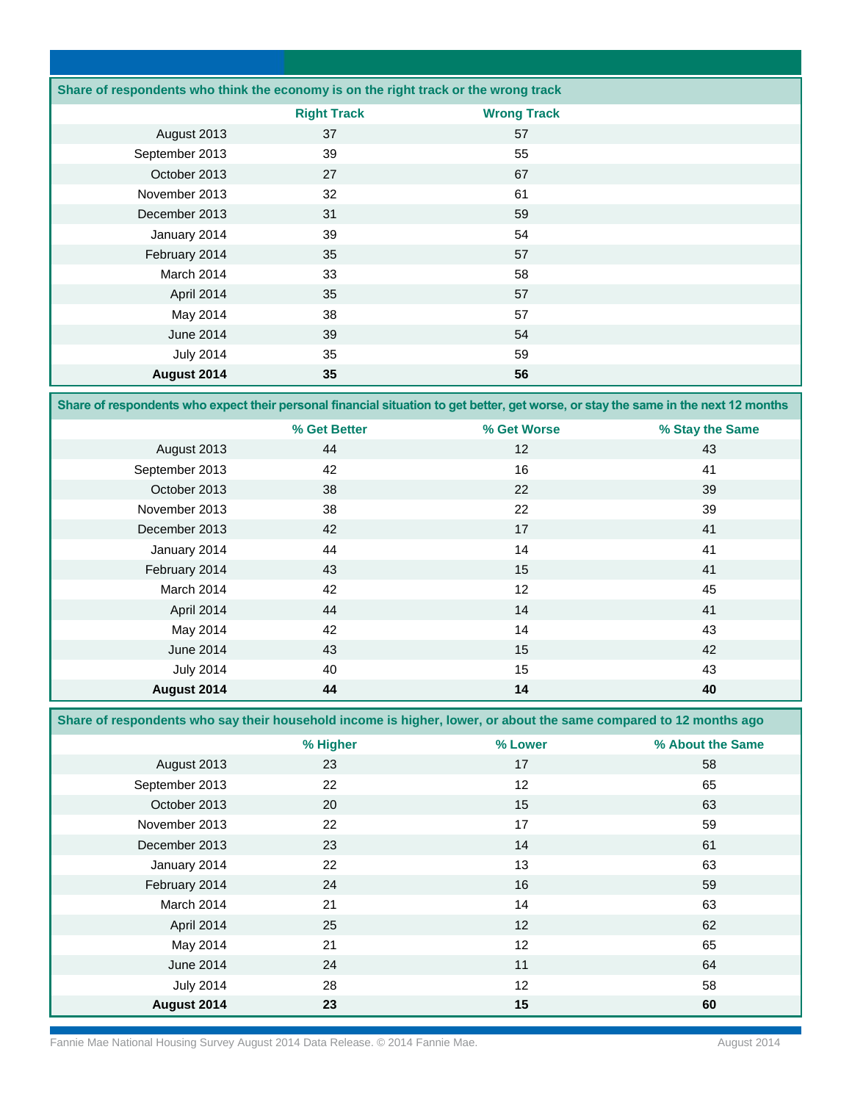|                  | Share of respondents who think the economy is on the right track or the wrong track |                    |  |  |
|------------------|-------------------------------------------------------------------------------------|--------------------|--|--|
|                  | <b>Right Track</b>                                                                  | <b>Wrong Track</b> |  |  |
| August 2013      | 37                                                                                  | 57                 |  |  |
| September 2013   | 39                                                                                  | 55                 |  |  |
| October 2013     | 27                                                                                  | 67                 |  |  |
| November 2013    | 32                                                                                  | 61                 |  |  |
| December 2013    | 31                                                                                  | 59                 |  |  |
| January 2014     | 39                                                                                  | 54                 |  |  |
| February 2014    | 35                                                                                  | 57                 |  |  |
| March 2014       | 33                                                                                  | 58                 |  |  |
| April 2014       | 35                                                                                  | 57                 |  |  |
| May 2014         | 38                                                                                  | 57                 |  |  |
| June 2014        | 39                                                                                  | 54                 |  |  |
| <b>July 2014</b> | 35                                                                                  | 59                 |  |  |
| August 2014      | 35                                                                                  | 56                 |  |  |

**Share of respondents who expect their personal financial situation to get better, get worse, or stay the same in the next 12 months**

|                  | % Get Better | % Get Worse | % Stay the Same |
|------------------|--------------|-------------|-----------------|
| August 2013      | 44           | 12          | 43              |
| September 2013   | 42           | 16          | 41              |
| October 2013     | 38           | 22          | 39              |
| November 2013    | 38           | 22          | 39              |
| December 2013    | 42           | 17          | 41              |
| January 2014     | 44           | 14          | 41              |
| February 2014    | 43           | 15          | 41              |
| March 2014       | 42           | 12          | 45              |
| April 2014       | 44           | 14          | 41              |
| May 2014         | 42           | 14          | 43              |
| June 2014        | 43           | 15          | 42              |
| <b>July 2014</b> | 40           | 15          | 43              |
| August 2014      | 44           | 14          | 40              |

**Share of respondents who say their household income is higher, lower, or about the same compared to 12 months ago** 

|                  | % Higher | % Lower | % About the Same |
|------------------|----------|---------|------------------|
| August 2013      | 23       | 17      | 58               |
| September 2013   | 22       | 12      | 65               |
| October 2013     | 20       | 15      | 63               |
| November 2013    | 22       | 17      | 59               |
| December 2013    | 23       | 14      | 61               |
| January 2014     | 22       | 13      | 63               |
| February 2014    | 24       | 16      | 59               |
| March 2014       | 21       | 14      | 63               |
| April 2014       | 25       | 12      | 62               |
| May 2014         | 21       | 12      | 65               |
| June 2014        | 24       | 11      | 64               |
| <b>July 2014</b> | 28       | 12      | 58               |
| August 2014      | 23       | 15      | 60               |